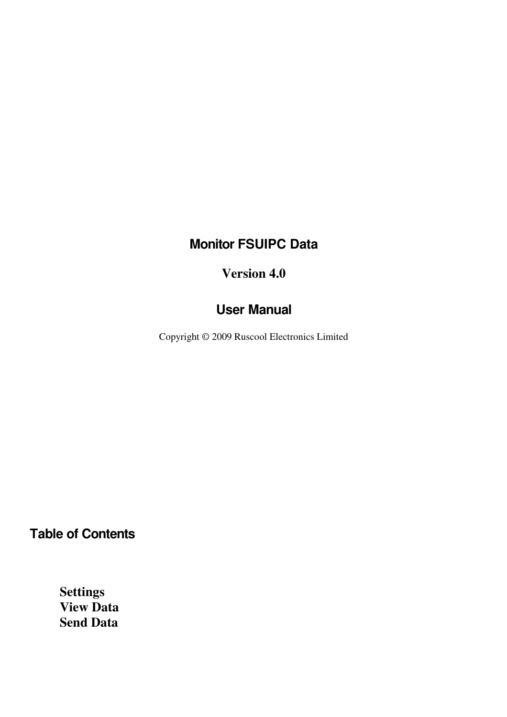# **Monitor FSUIPC Data**

#### **Version 4.0**

### **User Manual**

Copyright © 2009 Ruscool Electronics Limited

**Table of Contents** 

 **Settings View Data Send Data**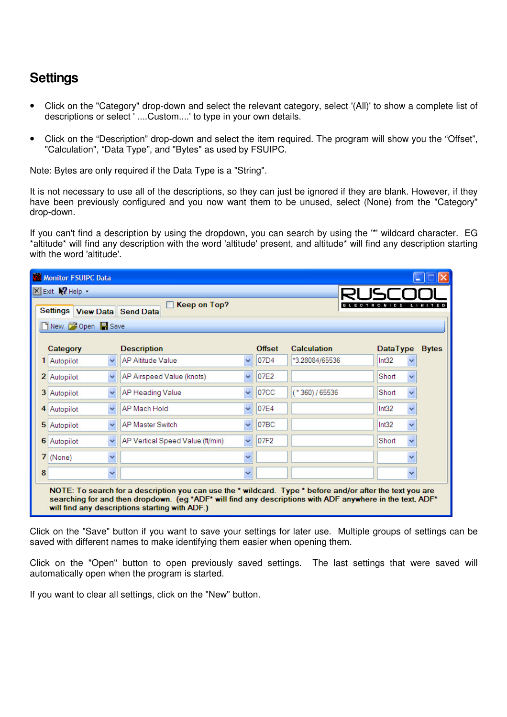## **Settings**

- Click on the "Category" drop-down and select the relevant category, select '(All)' to show a complete list of descriptions or select ' ....Custom....' to type in your own details.
- Click on the "Description" drop-down and select the item required. The program will show you the "Offset", "Calculation", "Data Type", and "Bytes" as used by FSUIPC.

Note: Bytes are only required if the Data Type is a "String".

It is not necessary to use all of the descriptions, so they can just be ignored if they are blank. However, if they have been previously configured and you now want them to be unused, select (None) from the "Category" drop-down.

If you can't find a description by using the dropdown, you can search by using the '\*' wildcard character. EG \*altitude\* will find any description with the word 'altitude' present, and altitude\* will find any description starting with the word 'altitude'.

| <b>Til Monitor FSUIPC Data</b> |                      |                                                                                                                                                                                                                                                                          |              |                  |                    |                       |  |
|--------------------------------|----------------------|--------------------------------------------------------------------------------------------------------------------------------------------------------------------------------------------------------------------------------------------------------------------------|--------------|------------------|--------------------|-----------------------|--|
| <b>X</b> Exit <b>X</b> Help    |                      |                                                                                                                                                                                                                                                                          |              |                  |                    |                       |  |
| Settings                       |                      | <b>Keep on Top?</b><br><b>View Data</b> Send Data                                                                                                                                                                                                                        |              |                  |                    | R O N<br>C S<br>. .   |  |
|                                | New Copen Save       |                                                                                                                                                                                                                                                                          |              |                  |                    |                       |  |
| Category                       |                      | <b>Description</b>                                                                                                                                                                                                                                                       |              | <b>Offset</b>    | <b>Calculation</b> | DataType Bytes        |  |
| Autopilot                      | $\checkmark$         | <b>AP Altitude Value</b>                                                                                                                                                                                                                                                 | $\checkmark$ | 07D4             | *3.28084/65536     | Int32<br>v            |  |
| 2<br>Autopilot                 | $\checkmark$         | AP Airspeed Value (knots)                                                                                                                                                                                                                                                | $\ddotmark$  | 07E2             |                    | Short<br>×            |  |
| 3<br>Autopilot                 | $\checkmark$         | AP Heading Value                                                                                                                                                                                                                                                         | v            | 07 <sub>CC</sub> | $(*360)/65536$     | Ÿ<br>Short            |  |
| Autopilot<br>4                 | $\checkmark$         | AP Mach Hold                                                                                                                                                                                                                                                             | $\ddotmark$  | 07E4             |                    | $\ddotmark$<br>Int32  |  |
| 5 Autopilot                    | $\checkmark$         | <b>AP Master Switch</b>                                                                                                                                                                                                                                                  | v            | 07BC             |                    | Int32<br>$\checkmark$ |  |
| 6<br>Autopilot                 | $\checkmark$         | AP Vertical Speed Value (ft/min)                                                                                                                                                                                                                                         | $\checkmark$ | 07F2             |                    | Short<br>v            |  |
| 7<br>(None)                    | $\checkmark$         |                                                                                                                                                                                                                                                                          | v            |                  |                    | ×                     |  |
| 8                              | $\ddot{\phantom{1}}$ |                                                                                                                                                                                                                                                                          | Ÿ            |                  |                    | v                     |  |
|                                |                      | NOTE: To search for a description you can use the * wildcard. Type * before and/or after the text you are<br>searching for and then dropdown. (eg *ADF* will find any descriptions with ADF anywhere in the text, ADF*<br>will find any descriptions starting with ADF.) |              |                  |                    |                       |  |

Click on the "Save" button if you want to save your settings for later use. Multiple groups of settings can be saved with different names to make identifying them easier when opening them.

Click on the "Open" button to open previously saved settings. The last settings that were saved will automatically open when the program is started.

If you want to clear all settings, click on the "New" button.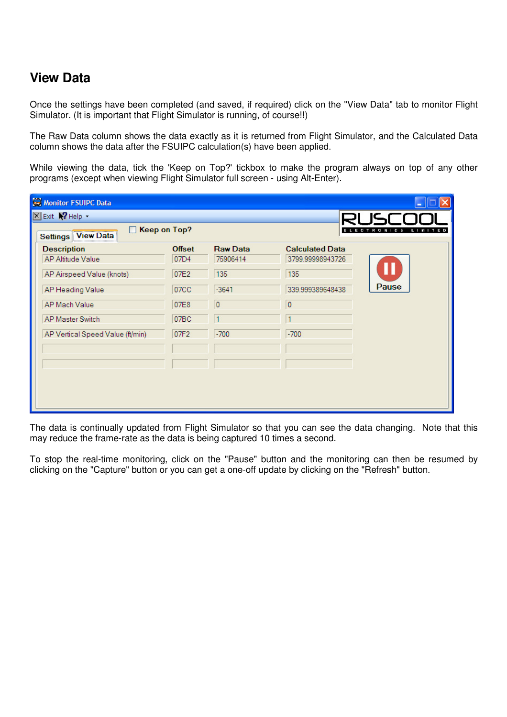### **View Data**

Once the settings have been completed (and saved, if required) click on the "View Data" tab to monitor Flight Simulator. (It is important that Flight Simulator is running, of course!!)

The Raw Data column shows the data exactly as it is returned from Flight Simulator, and the Calculated Data column shows the data after the FSUIPC calculation(s) have been applied.

While viewing the data, tick the 'Keep on Top?' tickbox to make the program always on top of any other programs (except when viewing Flight Simulator full screen - using Alt-Enter).

| Monitor FSUIPC Data              |                     |                 |                        | ÷                           |
|----------------------------------|---------------------|-----------------|------------------------|-----------------------------|
| <b>X</b> Exit <b>X</b> Help      |                     |                 |                        |                             |
| Settings View Data               | <b>Keep on Top?</b> |                 | EL                     | <b>ECTRONICS</b><br>LIMITED |
| <b>Description</b>               | <b>Offset</b>       | <b>Raw Data</b> | <b>Calculated Data</b> |                             |
| AP Altitude Value                | 07D4                | 75906414        | 3799.99998943726       |                             |
| AP Airspeed Value (knots)        | 07E2                | 135             | 135                    |                             |
| AP Heading Value                 | 07 <sub>C</sub>     | $-3641$         | 339.999389648438       | Pause                       |
| AP Mach Value                    | 07E8                | $\overline{0}$  | $\bf{0}$               |                             |
| <b>AP Master Switch</b>          | 07BC                | 1               | 1                      |                             |
| AP Vertical Speed Value (ft/min) | 07F2                | $-700$          | $-700$                 |                             |
|                                  |                     |                 |                        |                             |
|                                  |                     |                 |                        |                             |
|                                  |                     |                 |                        |                             |
|                                  |                     |                 |                        |                             |
|                                  |                     |                 |                        |                             |

The data is continually updated from Flight Simulator so that you can see the data changing. Note that this may reduce the frame-rate as the data is being captured 10 times a second.

To stop the real-time monitoring, click on the "Pause" button and the monitoring can then be resumed by clicking on the "Capture" button or you can get a one-off update by clicking on the "Refresh" button.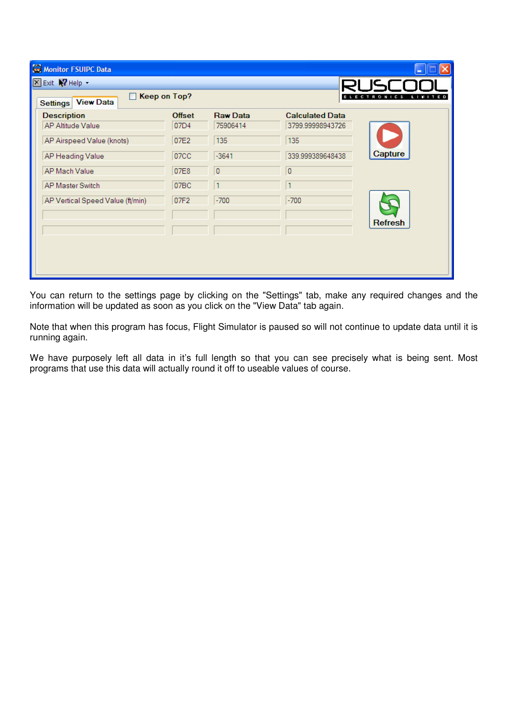| Monitor FSUIPC Data                                 |                   |                 |                        |                |
|-----------------------------------------------------|-------------------|-----------------|------------------------|----------------|
| <b>X</b> Exit <b>X</b> Help -                       |                   |                 |                        | א וק           |
| Keep on Top?<br><b>View Data</b><br><b>Settings</b> | ECTRONICS LIMITED |                 |                        |                |
| <b>Description</b>                                  | <b>Offset</b>     | <b>Raw Data</b> | <b>Calculated Data</b> |                |
| <b>AP Altitude Value</b>                            | 07D4              | 75906414        | 3799.99998943726       |                |
| AP Airspeed Value (knots)                           | 07E2              | 135             | 135                    |                |
| AP Heading Value                                    | 07 <sub>CC</sub>  | $-3641$         | 339.999389648438       | Capture        |
| AP Mach Value                                       | 07E8              | $\vert 0 \vert$ | $\bf{0}$               |                |
| <b>AP Master Switch</b>                             | 07BC              | 11              | ٦                      |                |
| AP Vertical Speed Value (ft/min)                    | 07F2              | $-700$          | $-700$                 |                |
|                                                     |                   |                 |                        | <b>Refresh</b> |
|                                                     |                   |                 |                        |                |
|                                                     |                   |                 |                        |                |
|                                                     |                   |                 |                        |                |
|                                                     |                   |                 |                        |                |

You can return to the settings page by clicking on the "Settings" tab, make any required changes and the information will be updated as soon as you click on the "View Data" tab again.

Note that when this program has focus, Flight Simulator is paused so will not continue to update data until it is running again.

We have purposely left all data in it's full length so that you can see precisely what is being sent. Most programs that use this data will actually round it off to useable values of course.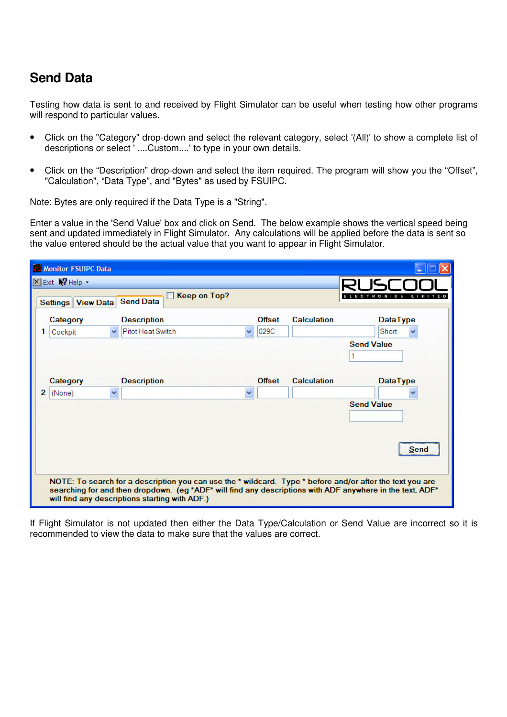# **Send Data**

Testing how data is sent to and received by Flight Simulator can be useful when testing how other programs will respond to particular values.

- Click on the "Category" drop-down and select the relevant category, select '(All)' to show a complete list of descriptions or select ' ....Custom....' to type in your own details.
- Click on the "Description" drop-down and select the item required. The program will show you the "Offset", "Calculation", "Data Type", and "Bytes" as used by FSUIPC.

Note: Bytes are only required if the Data Type is a "String".

Enter a value in the 'Send Value' box and click on Send. The below example shows the vertical speed being sent and updated immediately in Flight Simulator. Any calculations will be applied before the data is sent so the value entered should be the actual value that you want to appear in Flight Simulator.

| <b>Til Monitor FSUIPC Data</b>           |                                                                                                                                                                                                                                                                          |                      |                    |                             |
|------------------------------------------|--------------------------------------------------------------------------------------------------------------------------------------------------------------------------------------------------------------------------------------------------------------------------|----------------------|--------------------|-----------------------------|
| <b>X</b> Exit <b>X</b> Help -            | <b>Keep on Top?</b>                                                                                                                                                                                                                                                      |                      |                    | <b>ECTRONICS</b><br>LIMITED |
| <b>Settings View Data</b>                | <b>Send Data</b>                                                                                                                                                                                                                                                         |                      |                    |                             |
| Category                                 | <b>Description</b>                                                                                                                                                                                                                                                       | <b>Offset</b>        | <b>Calculation</b> | <b>DataType</b>             |
| Cockpit<br>1<br>$\checkmark$             | Pitot Heat Switch                                                                                                                                                                                                                                                        | 029C<br>$\checkmark$ |                    | Short                       |
|                                          |                                                                                                                                                                                                                                                                          |                      |                    | <b>Send Value</b>           |
|                                          |                                                                                                                                                                                                                                                                          |                      |                    |                             |
| Category                                 | <b>Description</b>                                                                                                                                                                                                                                                       | <b>Offset</b>        | <b>Calculation</b> | <b>DataType</b>             |
| $\overline{2}$<br>(None)<br>$\checkmark$ |                                                                                                                                                                                                                                                                          | v                    |                    |                             |
|                                          |                                                                                                                                                                                                                                                                          |                      |                    | <b>Send Value</b>           |
|                                          |                                                                                                                                                                                                                                                                          |                      |                    |                             |
|                                          |                                                                                                                                                                                                                                                                          |                      |                    | Send                        |
|                                          | NOTE: To search for a description you can use the * wildcard. Type * before and/or after the text you are<br>searching for and then dropdown. (eg *ADF* will find any descriptions with ADF anywhere in the text, ADF*<br>will find any descriptions starting with ADF.) |                      |                    |                             |

If Flight Simulator is not updated then either the Data Type/Calculation or Send Value are incorrect so it is recommended to view the data to make sure that the values are correct.